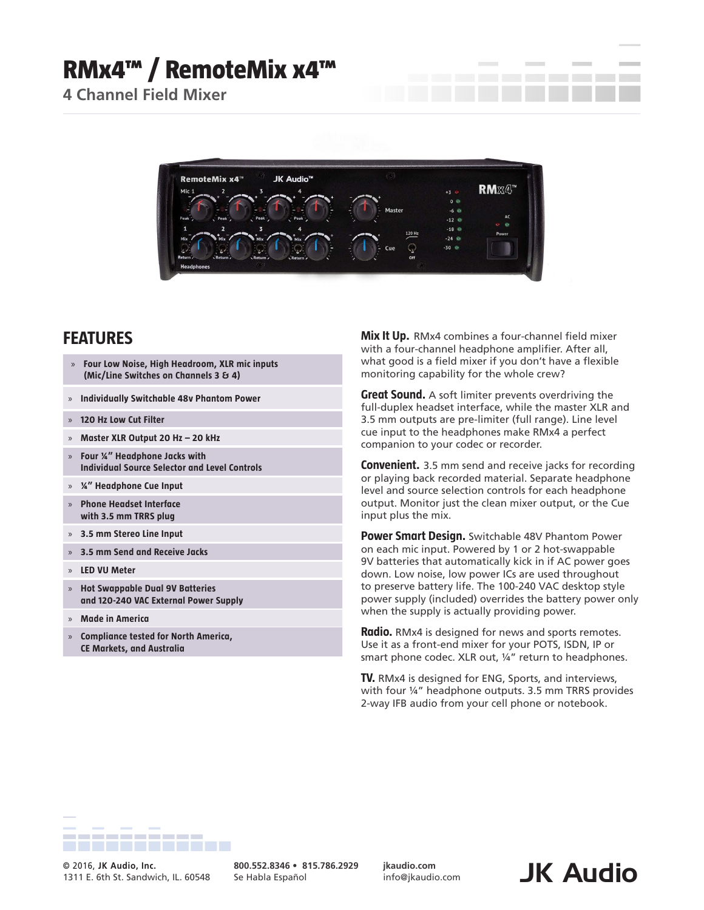## **RMx4™ / RemoteMix x4™**

**4 Channel Field Mixer**



## **FEATURES**

- » **Four Low Noise, High Headroom, XLR mic inputs (Mic/Line Switches on Channels 3 & 4)**
- » **Individually Switchable 48v Phantom Power**
- » **120 Hz Low Cut Filter**
- » **Master XLR Output 20 Hz 20 kHz**
- » **Four ¼" Headphone Jacks with Individual Source Selector and Level Controls**
- » **¼" Headphone Cue Input**
- » **Phone Headset Interface with 3.5 mm TRRS plug**
- » **3.5 mm Stereo Line Input**
- » **3.5 mm Send and Receive Jacks**
- » **LED VU Meter**
- » **Hot Swappable Dual 9V Batteries and 120-240 VAC External Power Supply**
- » **Made in America**
- » **Compliance tested for North America, CE Markets, and Australia**

**Mix It Up.** RMx4 combines a four-channel field mixer with a four-channel headphone amplifier. After all, what good is a field mixer if you don't have a flexible monitoring capability for the whole crew?

**Great Sound.** A soft limiter prevents overdriving the full-duplex headset interface, while the master XLR and 3.5 mm outputs are pre-limiter (full range). Line level cue input to the headphones make RMx4 a perfect companion to your codec or recorder.

**Convenient.** 3.5 mm send and receive jacks for recording or playing back recorded material. Separate headphone level and source selection controls for each headphone output. Monitor just the clean mixer output, or the Cue input plus the mix.

**Power Smart Design.** Switchable 48V Phantom Power on each mic input. Powered by 1 or 2 hot-swappable 9V batteries that automatically kick in if AC power goes down. Low noise, low power ICs are used throughout to preserve battery life. The 100-240 VAC desktop style power supply (included) overrides the battery power only when the supply is actually providing power.

**Radio.** RMx4 is designed for news and sports remotes. Use it as a front-end mixer for your POTS, ISDN, IP or smart phone codec. XLR out, 1/4" return to headphones.

**TV.** RMx4 is designed for ENG, Sports, and interviews, with four ¼" headphone outputs. 3.5 mm TRRS provides 2-way IFB audio from your cell phone or notebook.



© 2016, JK Audio, Inc. **1996 Concept and Solutio Concept and Solutio Concept and Solutio Concept and Solutio Concept and Solutio Concept and Solutio Concept and Solutio Concept and Solutio Concept and Solutio Concept and** 1311 E. 6th St. Sandwich, IL. 60548

**800.552.8346 • 815.786.2929** Se Habla Español